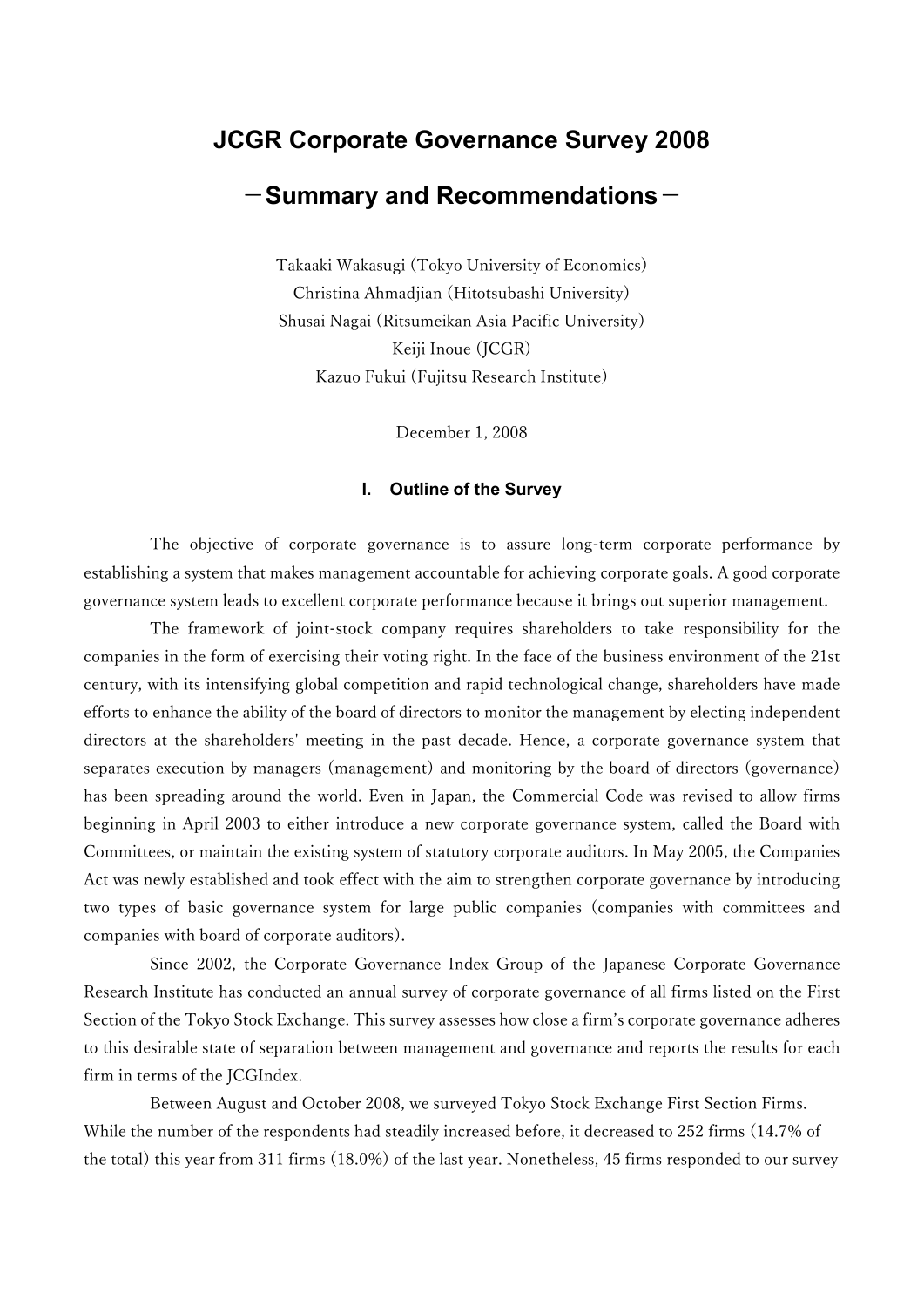# JCGR Corporate Governance Survey 2008

# $-$ Summary and Recommendations $-$

Takaaki Wakasugi (Tokyo University of Economics) Christina Ahmadjian (Hitotsubashi University) Shusai Nagai (Ritsumeikan Asia Pacific University) Keiji Inoue (JCGR) Kazuo Fukui (Fujitsu Research Institute)

December 1, 2008

#### I. Outline of the Survey

The objective of corporate governance is to assure long-term corporate performance by establishing a system that makes management accountable for achieving corporate goals. A good corporate governance system leads to excellent corporate performance because it brings out superior management.

The framework of joint-stock company requires shareholders to take responsibility for the companies in the form of exercising their voting right. In the face of the business environment of the 21st century, with its intensifying global competition and rapid technological change, shareholders have made efforts to enhance the ability of the board of directors to monitor the management by electing independent directors at the shareholders' meeting in the past decade. Hence, a corporate governance system that separates execution by managers (management) and monitoring by the board of directors (governance) has been spreading around the world. Even in Japan, the Commercial Code was revised to allow firms beginning in April 2003 to either introduce a new corporate governance system, called the Board with Committees, or maintain the existing system of statutory corporate auditors. In May 2005, the Companies Act was newly established and took effect with the aim to strengthen corporate governance by introducing two types of basic governance system for large public companies (companies with committees and companies with board of corporate auditors).

Since 2002, the Corporate Governance Index Group of the Japanese Corporate Governance Research Institute has conducted an annual survey of corporate governance of all firms listed on the First Section of the Tokyo Stock Exchange. This survey assesses how close a firm's corporate governance adheres to this desirable state of separation between management and governance and reports the results for each firm in terms of the JCGIndex.

Between August and October 2008, we surveyed Tokyo Stock Exchange First Section Firms. While the number of the respondents had steadily increased before, it decreased to 252 firms (14.7% of the total) this year from 311 firms (18.0%) of the last year. Nonetheless, 45 firms responded to our survey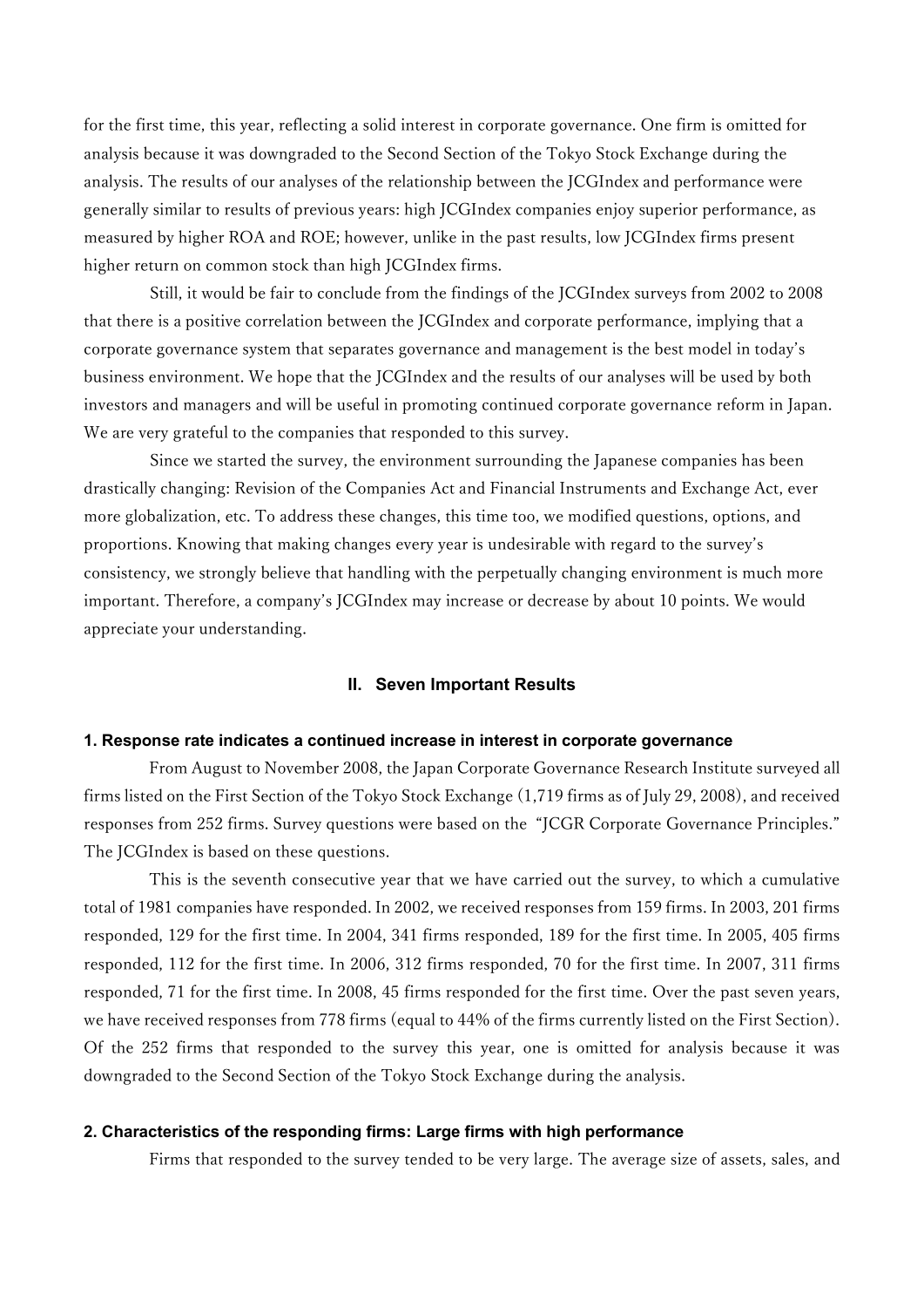for the first time, this year, reflecting a solid interest in corporate governance. One firm is omitted for analysis because it was downgraded to the Second Section of the Tokyo Stock Exchange during the analysis. The results of our analyses of the relationship between the JCGIndex and performance were generally similar to results of previous years: high JCGIndex companies enjoy superior performance, as measured by higher ROA and ROE; however, unlike in the past results, low JCGIndex firms present higher return on common stock than high JCGIndex firms.

Still, it would be fair to conclude from the findings of the JCGIndex surveys from 2002 to 2008 that there is a positive correlation between the JCGIndex and corporate performance, implying that a corporate governance system that separates governance and management is the best model in today's business environment. We hope that the JCGIndex and the results of our analyses will be used by both investors and managers and will be useful in promoting continued corporate governance reform in Japan. We are very grateful to the companies that responded to this survey.

Since we started the survey, the environment surrounding the Japanese companies has been drastically changing: Revision of the Companies Act and Financial Instruments and Exchange Act, ever more globalization, etc. To address these changes, this time too, we modified questions, options, and proportions. Knowing that making changes every year is undesirable with regard to the survey's consistency, we strongly believe that handling with the perpetually changing environment is much more important. Therefore, a company's JCGIndex may increase or decrease by about 10 points. We would appreciate your understanding.

#### II. Seven Important Results

#### 1. Response rate indicates a continued increase in interest in corporate governance

From August to November 2008, the Japan Corporate Governance Research Institute surveyed all firms listed on the First Section of the Tokyo Stock Exchange (1,719 firms as of July 29, 2008), and received responses from 252 firms. Survey questions were based on the "JCGR Corporate Governance Principles." The JCGIndex is based on these questions.

This is the seventh consecutive year that we have carried out the survey, to which a cumulative total of 1981 companies have responded. In 2002, we received responses from 159 firms. In 2003, 201 firms responded, 129 for the first time. In 2004, 341 firms responded, 189 for the first time. In 2005, 405 firms responded, 112 for the first time. In 2006, 312 firms responded, 70 for the first time. In 2007, 311 firms responded, 71 for the first time. In 2008, 45 firms responded for the first time. Over the past seven years, we have received responses from 778 firms (equal to 44% of the firms currently listed on the First Section). Of the 252 firms that responded to the survey this year, one is omitted for analysis because it was downgraded to the Second Section of the Tokyo Stock Exchange during the analysis.

#### 2. Characteristics of the responding firms: Large firms with high performance

Firms that responded to the survey tended to be very large. The average size of assets, sales, and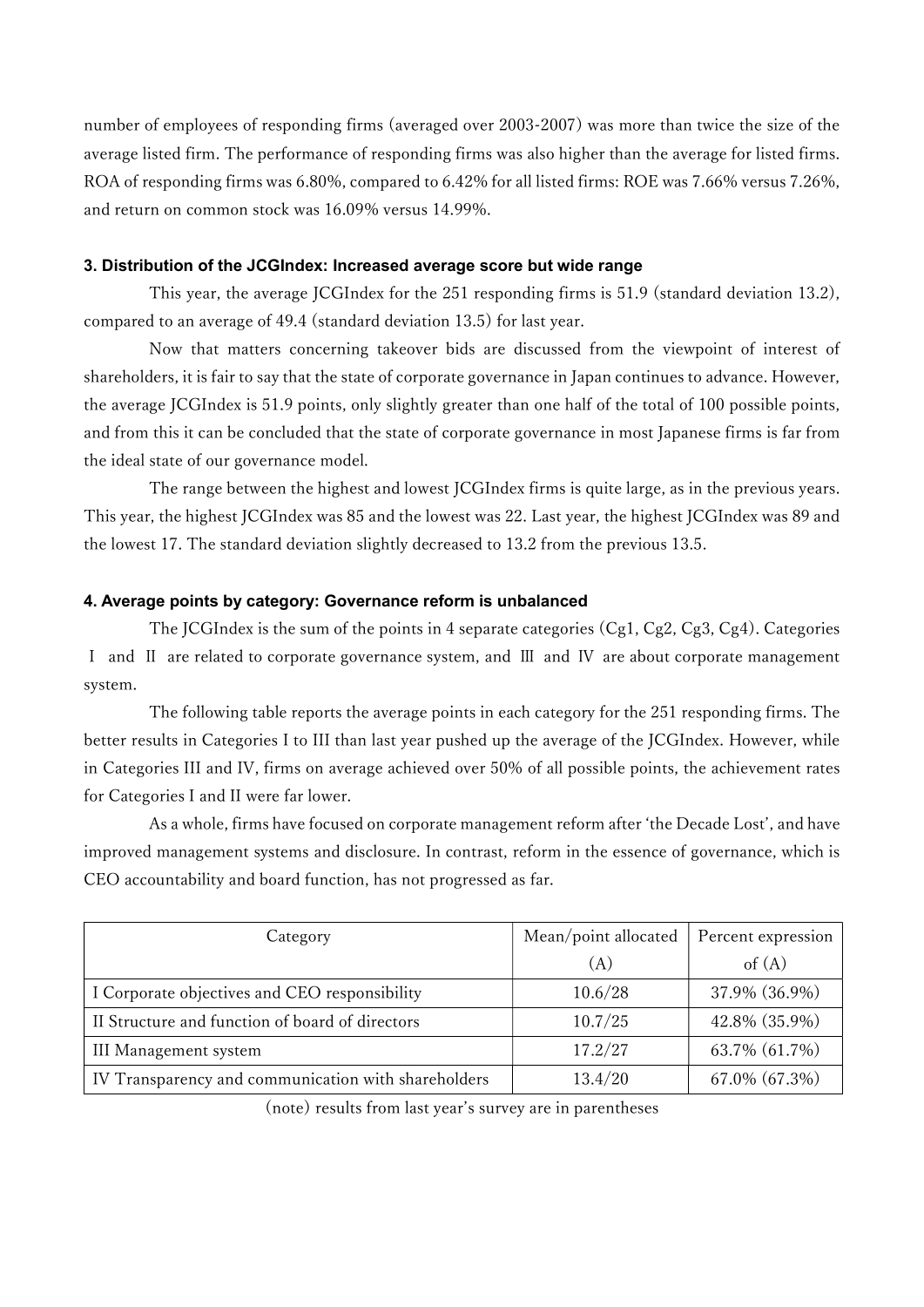number of employees of responding firms (averaged over 2003-2007) was more than twice the size of the average listed firm. The performance of responding firms was also higher than the average for listed firms. ROA of responding firms was 6.80%, compared to 6.42% for all listed firms: ROE was 7.66% versus 7.26%, and return on common stock was 16.09% versus 14.99%.

## 3. Distribution of the JCGIndex: Increased average score but wide range

 This year, the average JCGIndex for the 251 responding firms is 51.9 (standard deviation 13.2), compared to an average of 49.4 (standard deviation 13.5) for last year.

Now that matters concerning takeover bids are discussed from the viewpoint of interest of shareholders, it is fair to say that the state of corporate governance in Japan continues to advance. However, the average JCGIndex is 51.9 points, only slightly greater than one half of the total of 100 possible points, and from this it can be concluded that the state of corporate governance in most Japanese firms is far from the ideal state of our governance model.

The range between the highest and lowest JCGIndex firms is quite large, as in the previous years. This year, the highest JCGIndex was 85 and the lowest was 22. Last year, the highest JCGIndex was 89 and the lowest 17. The standard deviation slightly decreased to 13.2 from the previous 13.5.

# 4. Average points by category: Governance reform is unbalanced

The JCGIndex is the sum of the points in 4 separate categories (Cg1, Cg2, Cg3, Cg4). Categories Ⅰ and Ⅱ are related to corporate governance system, and Ⅲ and Ⅳ are about corporate management system.

The following table reports the average points in each category for the 251 responding firms. The better results in Categories I to III than last year pushed up the average of the JCGIndex. However, while in Categories III and IV, firms on average achieved over 50% of all possible points, the achievement rates for Categories I and II were far lower.

 As a whole, firms have focused on corporate management reform after 'the Decade Lost', and have improved management systems and disclosure. In contrast, reform in the essence of governance, which is CEO accountability and board function, has not progressed as far.

| Category                                            | Mean/point allocated | Percent expression |
|-----------------------------------------------------|----------------------|--------------------|
|                                                     | (A)                  | of $(A)$           |
| I Corporate objectives and CEO responsibility       | 10.6/28              | 37.9% (36.9%)      |
| II Structure and function of board of directors     | 10.7/25              | 42.8% (35.9%)      |
| III Management system                               | 17.2/27              | 63.7% (61.7%)      |
| IV Transparency and communication with shareholders | 13.4/20              | 67.0% (67.3%)      |

(note) results from last year's survey are in parentheses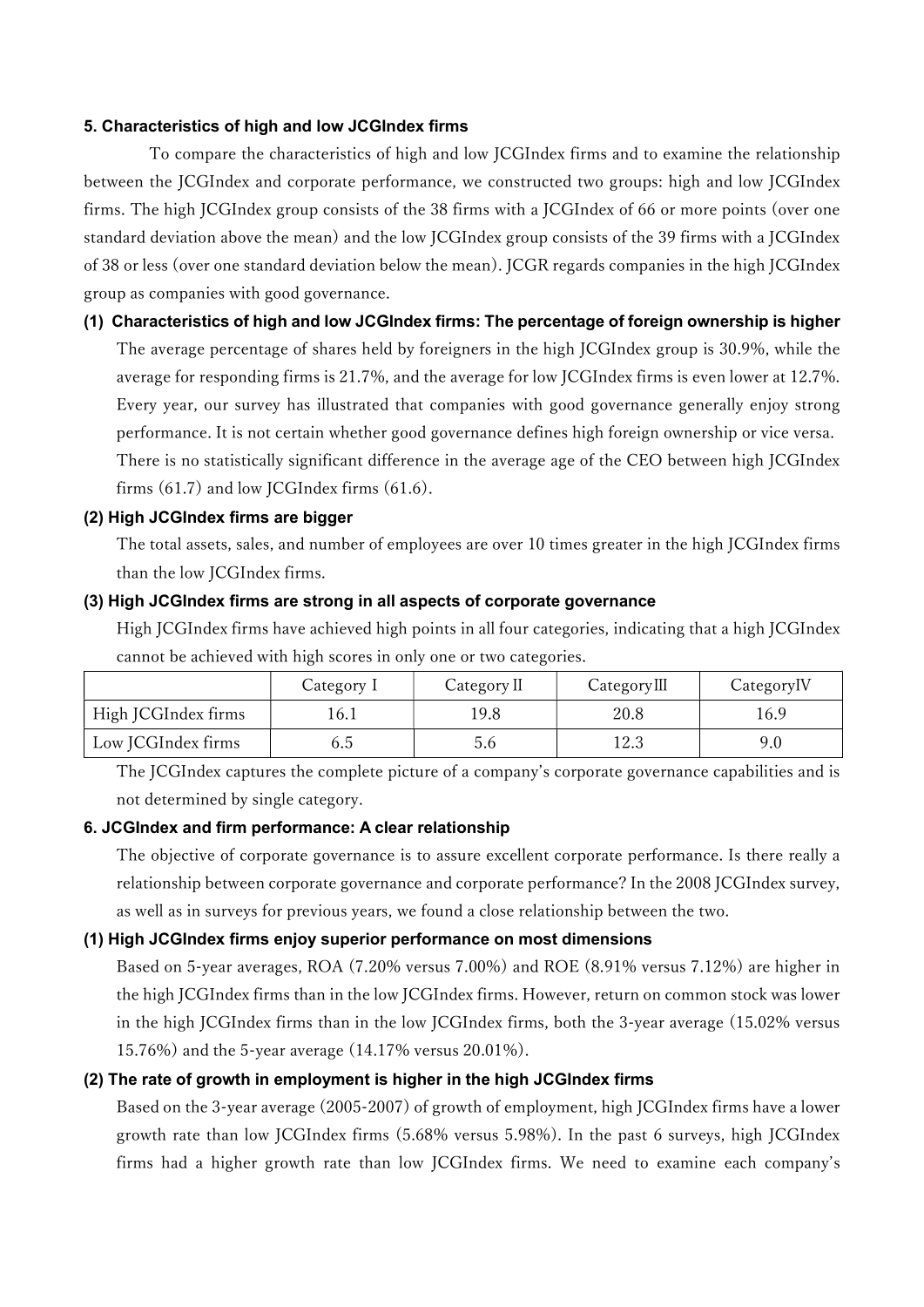## 5. Characteristics of high and low JCGIndex firms

 To compare the characteristics of high and low JCGIndex firms and to examine the relationship between the JCGIndex and corporate performance, we constructed two groups: high and low JCGIndex firms. The high JCGIndex group consists of the 38 firms with a JCGIndex of 66 or more points (over one standard deviation above the mean) and the low JCGIndex group consists of the 39 firms with a JCGIndex of 38 or less (over one standard deviation below the mean). JCGR regards companies in the high JCGIndex group as companies with good governance.

(1) Characteristics of high and low JCGIndex firms: The percentage of foreign ownership is higher The average percentage of shares held by foreigners in the high JCGIndex group is 30.9%, while the average for responding firms is 21.7%, and the average for low JCGIndex firms is even lower at 12.7%. Every year, our survey has illustrated that companies with good governance generally enjoy strong performance. It is not certain whether good governance defines high foreign ownership or vice versa. There is no statistically significant difference in the average age of the CEO between high JCGIndex firms (61.7) and low JCGIndex firms (61.6).

### (2) High JCGIndex firms are bigger

The total assets, sales, and number of employees are over 10 times greater in the high JCGIndex firms than the low JCGIndex firms.

### (3) High JCGIndex firms are strong in all aspects of corporate governance

High JCGIndex firms have achieved high points in all four categories, indicating that a high JCGIndex cannot be achieved with high scores in only one or two categories.

|                     | Category I | Category II | CategoryIII | Category <sub>IV</sub> |
|---------------------|------------|-------------|-------------|------------------------|
| High JCGIndex firms | !6.1       | 19.8        | 20.8        | 16.9                   |
| Low JCGIndex firms  | 6.d        | 5.6         | l2.3        | 9.0                    |

The JCGIndex captures the complete picture of a company's corporate governance capabilities and is not determined by single category.

# 6. JCGIndex and firm performance: A clear relationship

The objective of corporate governance is to assure excellent corporate performance. Is there really a relationship between corporate governance and corporate performance? In the 2008 JCGIndex survey, as well as in surveys for previous years, we found a close relationship between the two.

# (1) High JCGIndex firms enjoy superior performance on most dimensions

Based on 5-year averages, ROA (7.20% versus 7.00%) and ROE (8.91% versus 7.12%) are higher in the high JCGIndex firms than in the low JCGIndex firms. However, return on common stock was lower in the high JCGIndex firms than in the low JCGIndex firms, both the 3-year average (15.02% versus 15.76%) and the 5-year average (14.17% versus 20.01%).

# (2) The rate of growth in employment is higher in the high JCGIndex firms

Based on the 3-year average (2005-2007) of growth of employment, high JCGIndex firms have a lower growth rate than low JCGIndex firms (5.68% versus 5.98%). In the past 6 surveys, high JCGIndex firms had a higher growth rate than low JCGIndex firms. We need to examine each company's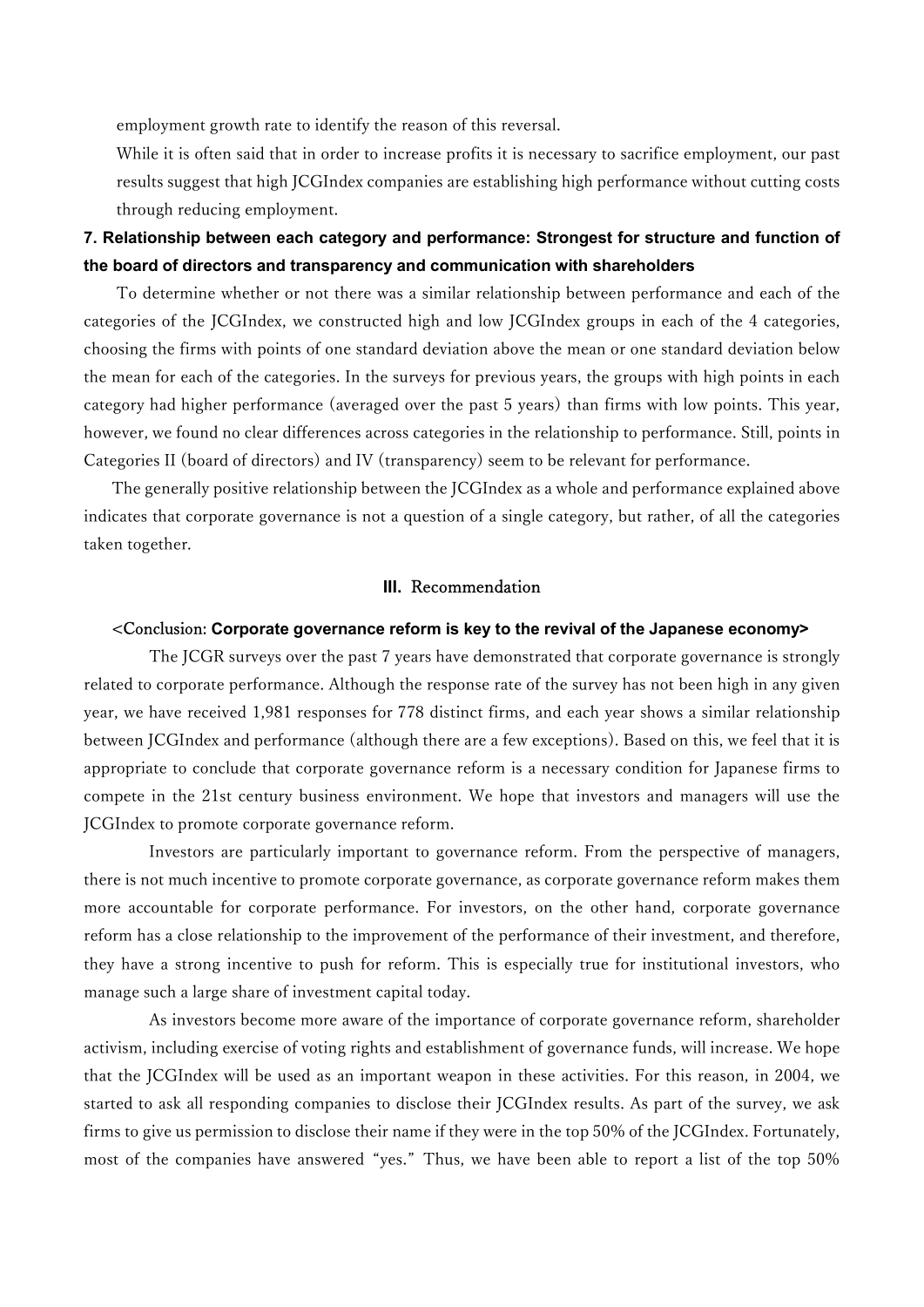employment growth rate to identify the reason of this reversal.

While it is often said that in order to increase profits it is necessary to sacrifice employment, our past results suggest that high JCGIndex companies are establishing high performance without cutting costs through reducing employment.

# 7. Relationship between each category and performance: Strongest for structure and function of the board of directors and transparency and communication with shareholders

To determine whether or not there was a similar relationship between performance and each of the categories of the JCGIndex, we constructed high and low JCGIndex groups in each of the 4 categories, choosing the firms with points of one standard deviation above the mean or one standard deviation below the mean for each of the categories. In the surveys for previous years, the groups with high points in each category had higher performance (averaged over the past 5 years) than firms with low points. This year, however, we found no clear differences across categories in the relationship to performance. Still, points in Categories II (board of directors) and IV (transparency) seem to be relevant for performance.

The generally positive relationship between the JCGIndex as a whole and performance explained above indicates that corporate governance is not a question of a single category, but rather, of all the categories taken together.

## III. Recommendation

#### <Conclusion: Corporate governance reform is key to the revival of the Japanese economy>

The JCGR surveys over the past 7 years have demonstrated that corporate governance is strongly related to corporate performance. Although the response rate of the survey has not been high in any given year, we have received 1,981 responses for 778 distinct firms, and each year shows a similar relationship between JCGIndex and performance (although there are a few exceptions). Based on this, we feel that it is appropriate to conclude that corporate governance reform is a necessary condition for Japanese firms to compete in the 21st century business environment. We hope that investors and managers will use the JCGIndex to promote corporate governance reform.

Investors are particularly important to governance reform. From the perspective of managers, there is not much incentive to promote corporate governance, as corporate governance reform makes them more accountable for corporate performance. For investors, on the other hand, corporate governance reform has a close relationship to the improvement of the performance of their investment, and therefore, they have a strong incentive to push for reform. This is especially true for institutional investors, who manage such a large share of investment capital today.

As investors become more aware of the importance of corporate governance reform, shareholder activism, including exercise of voting rights and establishment of governance funds, will increase. We hope that the JCGIndex will be used as an important weapon in these activities. For this reason, in 2004, we started to ask all responding companies to disclose their JCGIndex results. As part of the survey, we ask firms to give us permission to disclose their name if they were in the top 50% of the JCGIndex. Fortunately, most of the companies have answered "yes." Thus, we have been able to report a list of the top 50%